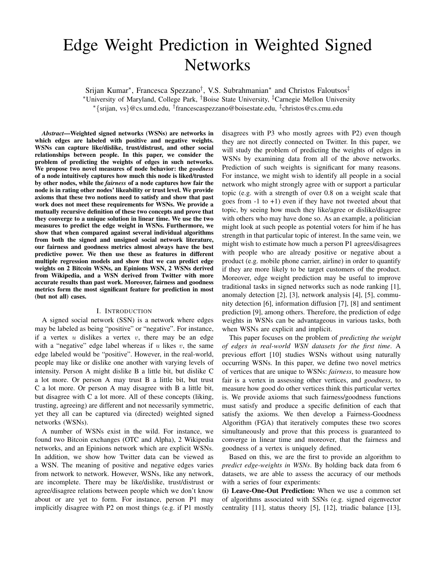# Edge Weight Prediction in Weighted Signed **Networks**

Srijan Kumar<sup>∗</sup>, Francesca Spezzano<sup>†</sup>, V.S. Subrahmanian<sup>∗</sup> and Christos Faloutsos<sup>‡</sup> <sup>∗</sup>University of Maryland, College Park, †Boise State University, ‡Carnegie Mellon University <sup>∗</sup>{srijan, vs}@cs.umd.edu, † francescaspezzano@boisestate.edu, ‡ christos@cs.cmu.edu

*Abstract*—Weighted signed networks (WSNs) are networks in which edges are labeled with positive and negative weights. WSNs can capture like/dislike, trust/distrust, and other social relationships between people. In this paper, we consider the problem of predicting the weights of edges in such networks. We propose two novel measures of node behavior: the *goodness* of a node intuitively captures how much this node is liked/trusted by other nodes, while the *fairness* of a node captures how fair the node is in rating other nodes' likeability or trust level. We provide axioms that these two notions need to satisfy and show that past work does not meet these requirements for WSNs. We provide a mutually recursive definition of these two concepts and prove that they converge to a unique solution in linear time. We use the two measures to predict the edge weight in WSNs. Furthermore, we show that when compared against several individual algorithms from both the signed and unsigned social network literature, our fairness and goodness metrics almost always have the best predictive power. We then use these as features in different multiple regression models and show that we can predict edge weights on 2 Bitcoin WSNs, an Epinions WSN, 2 WSNs derived from Wikipedia, and a WSN derived from Twitter with more accurate results than past work. Moreover, fairness and goodness metrics form the most significant feature for prediction in most (but not all) cases.

### I. INTRODUCTION

A signed social network (SSN) is a network where edges may be labeled as being "positive" or "negative". For instance, if a vertex  $u$  dislikes a vertex  $v$ , there may be an edge with a "negative" edge label whereas if  $u$  likes  $v$ , the same edge labeled would be "positive". However, in the real-world, people may like or dislike one another with varying levels of intensity. Person A might dislike B a little bit, but dislike C a lot more. Or person A may trust B a little bit, but trust C a lot more. Or person A may disagree with B a little bit, but disagree with C a lot more. All of these concepts (liking, trusting, agreeing) are different and not necessarily symmetric, yet they all can be captured via (directed) weighted signed networks (WSNs).

A number of WSNs exist in the wild. For instance, we found two Bitcoin exchanges (OTC and Alpha), 2 Wikipedia networks, and an Epinions network which are explicit WSNs. In addition, we show how Twitter data can be viewed as a WSN. The meaning of positive and negative edges varies from network to network. However, WSNs, like any network, are incomplete. There may be like/dislike, trust/distrust or agree/disagree relations between people which we don't know about or are yet to form. For instance, person P1 may implicitly disagree with P2 on most things (e.g. if P1 mostly disagrees with P3 who mostly agrees with P2) even though they are not directly connected on Twitter. In this paper, we will study the problem of predicting the weights of edges in WSNs by examining data from all of the above networks. Prediction of such weights is significant for many reasons. For instance, we might wish to identify all people in a social network who might strongly agree with or support a particular topic (e.g. with a strength of over 0.8 on a weight scale that goes from  $-1$  to  $+1$ ) even if they have not tweeted about that topic, by seeing how much they like/agree or dislike/disagree with others who may have done so. As an example, a politician might look at such people as potential voters for him if he has strength in that particular topic of interest. In the same vein, we might wish to estimate how much a person P1 agrees/disagrees with people who are already positive or negative about a product (e.g. mobile phone carrier, airline) in order to quantify if they are more likely to be target customers of the product. Moreover, edge weight prediction may be useful to improve traditional tasks in signed networks such as node ranking [1], anomaly detection [2], [3], network analysis [4], [5], community detection [6], information diffusion [7], [8] and sentiment prediction [9], among others. Therefore, the prediction of edge weights in WSNs can be advantageous in various tasks, both when WSNs are explicit and implicit.

This paper focuses on the problem of *predicting the weight of edges in real-world WSN datasets for the first time*. A previous effort [10] studies WSNs without using naturally occurring WSNs. In this paper, we define two novel metrics of vertices that are unique to WSNs: *fairness*, to measure how fair is a vertex in assessing other vertices, and *goodness*, to measure how good do other vertices think this particular vertex is. We provide axioms that such fairness/goodness functions must satisfy and produce a specific definition of each that satisfy the axioms. We then develop a Fairness-Goodness Algorithm (FGA) that iteratively computes these two scores simultaneously and prove that this process is guaranteed to converge in linear time and moreover, that the fairness and goodness of a vertex is uniquely defined.

Based on this, we are the first to provide an algorithm to *predict edge-weights in WSNs*. By holding back data from 6 datasets, we are able to assess the accuracy of our methods with a series of four experiments:

(i) Leave-One-Out Prediction: When we use a common set of algorithms associated with SSNs (e.g. signed eigenvector centrality [11], status theory [5], [12], triadic balance [13],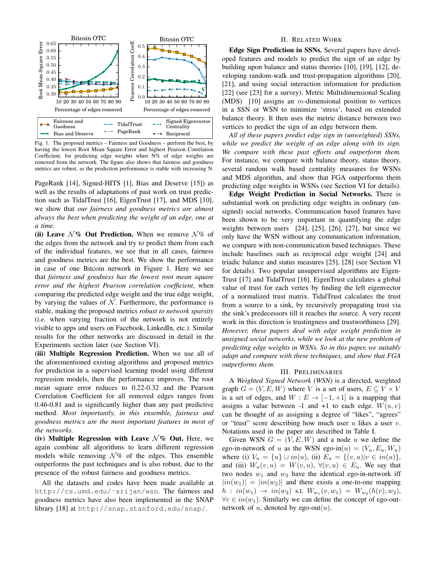

Fig. 1. The proposed metrics – Fairness and Goodness – perform the best, by having the lowest Root Mean Square Error and highest Pearson Correlation Coefficient, for predicting edge weights when N% of edge weights are removed from the network. The figure also shows that fairness and goodness metrics are robust, as the prediction performance is stable with increasing N.

PageRank [14], Signed-HITS [1], Bias and Deserve [15]) as well as the results of adaptations of past work on trust prediction such as TidalTrust [16], EigenTrust [17], and MDS [10], we show that *our fairness and goodness metrics are almost always the best when predicting the weight of an edge, one at a time.*

(ii) Leave  $\mathcal{N}\%$  Out Prediction. When we remove  $\mathcal{N}\%$  of the edges from the network and try to predict them from each of the individual features, we see that in all cases, fairness and goodness metrics are the best. We show the performance in case of one Bitcoin network in Figure 1. Here we see that *fairness and goodness has the lowest root mean square error and the highest Pearson correlation coefficient*, when comparing the predicted edge weight and the true edge weight, by varying the values of  $N$ . Furthermore, the performance is stable, making the proposed metrics *robust to network sparsity* (*i.e.* when varying fraction of the network is not entirely visible to apps and users on Facebook, LinkedIn, etc.). Similar results for the other networks are discussed in detail in the Experiments section later (see Section VI).

(iii) Multiple Regression Prediction. When we use all of the aforementioned existing algorithms and proposed metrics for prediction in a supervised learning model using different regression models, then the performance improves. The root mean square error reduces to 0.22-0.32 and the Pearson Correlation Coefficient for all removed edges ranges from 0.46-0.81 and is significantly higher than any past predictive method. *Most importantly, in this ensemble, fairness and goodness metrics are the most important features in most of the networks.*

(iv) Multiple Regression with Leave  $\mathcal{N}\%$  Out. Here, we again combine all algorithms to learn different regression models while removing  $\mathcal{N}\%$  of the edges. This ensemble outperforms the past techniques and is also robust, due to the presence of the robust fairness and goodness metrics.

All the datasets and codes have been made available at http://cs.umd.edu/~srijan/wsn. The fairness and goodness metrics have also been implemented in the SNAP library [18] at http://snap.stanford.edu/snap/.

## II. RELATED WORK

Edge Sign Prediction in SSNs. Several papers have developed features and models to predict the sign of an edge by building upon balance and status theories [10], [19], [12], developing random-walk and trust-propagation algorithms [20], [21], and using social interaction information for prediction [22] (see [23] for a survey). Metric Multidimensional Scaling (MDS)  $[10]$  assigns an *m*-dimensional position to vertices in a SSN or WSN to minimize 'stress', based on extended balance theory. It then uses the metric distance between two vertices to predict the sign of an edge between them.

*All of these papers predict edge sign in (unweighted) SSNs, while we predict the weight of an edge along with its sign. We compare with these past efforts and outperform them.* For instance, we compare with balance theory, status theory, several random walk based centrality measures for WSNs and MDS algorithm, and show that FGA outperforms them predicting edge weights in WSNs (see Section VI for details).

Edge Weight Prediction in Social Networks. There is substantial work on predicting edge weights in ordinary (unsigned) social networks. Communication based features have been shown to be very important in quantifying the edge weights between users [24], [25], [26], [27], but since we only have the WSN without any communication information, we compare with non-communication based techniques. These include baselines such as reciprocal edge weight [24] and triadic balance and status measures [25], [28] (see Section VI for details). Two popular unsupervised algorithms are Eigen-Trust [17] and TidalTrust [16]. EigenTrust calculates a global value of trust for each vertex by finding the left eigenvector of a normalized trust matrix. TidalTrust calculates the trust from a source to a sink, by recursively propagating trust via the sink's predecessors till it reaches the source. A very recent work in this direction is trustingness and trustworthiness [29]. *However, these papers deal with edge weight prediction in unsigned social networks, while we look at the new problem of predicting edge weights in WSNs. So in this paper, we suitably adapt and compare with these techniques, and show that FGA outperforms them*.

### III. PRELIMINARIES

A *Weighted Signed Network (WSN)* is a directed, weighted graph  $G = (V, E, W)$  where V is a set of users,  $E \subseteq V \times V$ is a set of edges, and  $W : E \rightarrow [-1, +1]$  is a mapping that assigns a value between -1 and +1 to each edge.  $W(u, v)$ can be thought of as assigning a degree of "likes", "agrees" or "trust" score describing how much user  $u$  likes a user  $v$ . Notations used in the paper are described in Table I.

Given WSN  $G = (V, E, W)$  and a node u we define the ego-in-network of u as the WSN ego-in $(u) = (V_u, E_u, W_u)$ where (i)  $V_u = \{u\} \cup in(u)$ , (ii)  $E_u = \{(v, u) | v \in in(u)\},$ and (iii)  $W_u(v, u) = W(v, u), \forall (v, u) \in E_u$ . We say that two nodes  $w_1$  and  $w_2$  have the identical ego-in-network iff  $|in(w_1)| = |in(w_2)|$  and there exists a one-to-one mapping  $h$  :  $in(w_1) \rightarrow in(w_2)$  s.t.  $W_{w_1}(v, w_1) = W_{w_2}(h(v), w_2)$ ,  $\forall v \in in(w_1)$ . Similarly we can define the concept of ego-outnetwork of u, denoted by ego-out $(u)$ .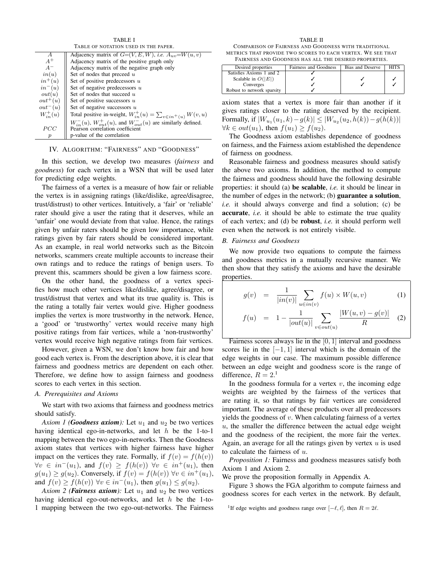TABLE I

| TABLE OF NOTATION USED IN THE PAPER. |                                                                                  |  |  |  |  |  |  |
|--------------------------------------|----------------------------------------------------------------------------------|--|--|--|--|--|--|
| $\overline{A}$                       | Adjacency matrix of $G=(V, E, W)$ , <i>i.e.</i> $A_{uv}=W(u, v)$                 |  |  |  |  |  |  |
| $A^+$                                | Adjacency matrix of the positive graph only                                      |  |  |  |  |  |  |
| $A^-$                                | Adjacency matrix of the negative graph only                                      |  |  |  |  |  |  |
| in(u)                                | Set of nodes that preceed $u$                                                    |  |  |  |  |  |  |
| $in^+(u)$                            | Set of positive predecessors $u$                                                 |  |  |  |  |  |  |
| $in^-(u)$                            | Set of negative predecessors $u$                                                 |  |  |  |  |  |  |
| out(u)                               | Set of nodes that succeed $u$                                                    |  |  |  |  |  |  |
| $out^+(u)$                           | Set of positive successors $u$                                                   |  |  |  |  |  |  |
| $out^{-}(u)$                         | Set of negative successors $u$                                                   |  |  |  |  |  |  |
| $W_{in}^+(u)$                        | Total positive in-weight, $W_{in}^+(u) = \sum_{v \in in^+(u)} W(v, u)$           |  |  |  |  |  |  |
|                                      | $W_{in}^{-}(u)$ , $W_{out}^{+}(u)$ , and $W_{out}^{-}(u)$ are similarly defined. |  |  |  |  |  |  |
| $_{PCC}$                             | Pearson correlation coefficient                                                  |  |  |  |  |  |  |
| $\boldsymbol{p}$                     | p-value of the correlation                                                       |  |  |  |  |  |  |

## IV. ALGORITHM: "FAIRNESS" AND "GOODNESS"

In this section, we develop two measures (*fairness* and *goodness*) for each vertex in a WSN that will be used later for predicting edge weights.

The fairness of a vertex is a measure of how fair or reliable the vertex is in assigning ratings (like/dislike, agree/disagree, trust/distrust) to other vertices. Intuitively, a 'fair' or 'reliable' rater should give a user the rating that it deserves, while an 'unfair' one would deviate from that value. Hence, the ratings given by unfair raters should be given low importance, while ratings given by fair raters should be considered important. As an example, in real world networks such as the Bitcoin networks, scammers create multiple accounts to increase their own ratings and to reduce the ratings of benign users. To prevent this, scammers should be given a low fairness score.

On the other hand, the goodness of a vertex specifies how much other vertices like/dislike, agree/disagree, or trust/distrust that vertex and what its true quality is. This is the rating a totally fair vertex would give. Higher goodness implies the vertex is more trustworthy in the network. Hence, a 'good' or 'trustworthy' vertex would receive many high positive ratings from fair vertices, while a 'non-trustworthy' vertex would receive high negative ratings from fair vertices.

However, given a WSN, we don't know how fair and how good each vertex is. From the description above, it is clear that fairness and goodness metrics are dependent on each other. Therefore, we define how to assign fairness and goodness scores to each vertex in this section.

#### *A. Prerequisites and Axioms*

We start with two axioms that fairness and goodness metrics should satisfy.

*Axiom 1 (Goodness axiom):* Let  $u_1$  and  $u_2$  be two vertices having identical ego-in-networks, and let  $h$  be the 1-to-1 mapping between the two ego-in-networks. Then the Goodness axiom states that vertices with higher fairness have higher impact on the vertices they rate. Formally, if  $f(v) = f(h(v))$  $\forall v \in in^{-}(u_1)$ , and  $f(v) \geq f(h(v)) \forall v \in in^{+}(u_1)$ , then  $g(u_1) \ge g(u_2)$ . Conversely, if  $f(v) = f(h(v)) \ \forall v \in in^+(u_1)$ , and  $f(v) \ge f(h(v))$   $\forall v \in in^-(u_1)$ , then  $g(u_1) \le g(u_2)$ .

*Axiom 2 (Fairness axiom):* Let  $u_1$  and  $u_2$  be two vertices having identical ego-out-networks, and let  $h$  be the 1-to-1 mapping between the two ego-out-networks. The Fairness

TABLE II COMPARISON OF FAIRNESS AND GOODNESS WITH TRADITIONAL METRICS THAT PROVIDE TWO SCORES TO EACH VERTEX. WE SEE THAT FAIRNESS AND GOODNESS HAS ALL THE DESIRED PROPERTIES.

| Desired properties         | Fairness and Goodness | Bias and Deserve | <b>HITS</b> |
|----------------------------|-----------------------|------------------|-------------|
| Satisfies Axioms 1 and 2   |                       |                  |             |
| Scalable in $O( E )$       |                       |                  |             |
| Converges                  |                       |                  |             |
| Robust to network sparsity |                       |                  |             |

axiom states that a vertex is more fair than another if it gives ratings closer to the rating deserved by the recipient. Formally, if  $|W_{u_1}(u_1, k) - g(k)| \leq |W_{u_2}(u_2, h(k)) - g(h(k))|$  $\forall k \in out(u_1)$ , then  $f(u_1) \ge f(u_2)$ .

The Goodness axiom establishes dependence of goodness on fairness, and the Fairness axiom established the dependence of fairness on goodness.

Reasonable fairness and goodness measures should satisfy the above two axioms. In addition, the method to compute the fairness and goodness should have the following desirable properties: it should (a) be scalable, *i.e.* it should be linear in the number of edges in the network; (b) guarantee a solution, *i.e.* it should always converge and find a solution; (c) be accurate, *i.e.* it should be able to estimate the true quality of each vertex; and (d) be robust, *i.e.* it should perform well even when the network is not entirely visible.

### *B. Fairness and Goodness*

We now provide two equations to compute the fairness and goodness metrics in a mutually recursive manner. We then show that they satisfy the axioms and have the desirable properties.

$$
g(v) = \frac{1}{|in(v)|} \sum_{u \in in(v)} f(u) \times W(u, v) \tag{1}
$$

$$
f(u) = 1 - \frac{1}{|out(u)|} \sum_{v \in out(u)} \frac{|W(u,v) - g(v)|}{R} \quad (2)
$$

Fairness scores always lie in the  $[0, 1]$  interval and goodness scores lie in the  $[-1, 1]$  interval which is the domain of the edge weights in our case. The maximum possible difference between an edge weight and goodness score is the range of difference,  $R = 2.1$ 

In the goodness formula for a vertex  $v$ , the incoming edge weights are weighted by the fairness of the vertices that are rating it, so that ratings by fair vertices are considered important. The average of these products over all predecessors yields the goodness of  $v$ . When calculating fairness of a vertex  $u$ , the smaller the difference between the actual edge weight and the goodness of the recipient, the more fair the vertex. Again, an average for all the ratings given by vertex  $u$  is used to calculate the fairness of  $u$ .

*Proposition 1:* Fairness and goodness measures satisfy both Axiom 1 and Axiom 2.

We prove the proposition formally in Appendix A.

Figure 3 shows the FGA algorithm to compute fairness and goodness scores for each vertex in the network. By default,

<sup>1</sup>If edge weights and goodness range over  $[-\ell, \ell]$ , then  $R = 2\ell$ .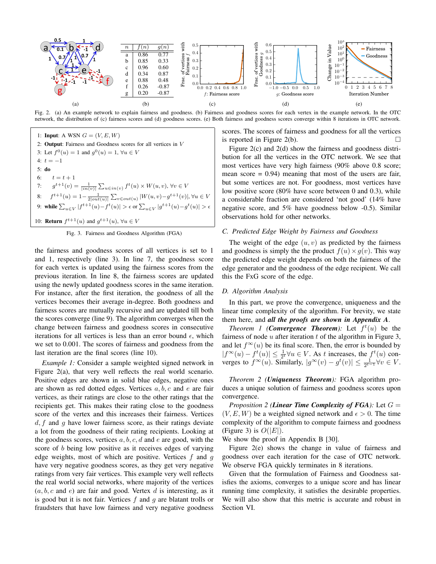

Fig. 2. (a) An example network to explain fairness and goodness. (b) Fairness and goodness scores for each vertex in the example network. In the OTC network, the distribution of (c) fairness scores and (d) goodness scores. (e) Both fairness and goodness scores converge within 8 iterations in OTC network.

1: Input: A WSN  $G = (V, E, W)$ 2: Output: Fairness and Goodness scores for all vertices in V 3: Let  $f^{0}(u) = 1$  and  $g^{0}(u) = 1$ ,  $\forall u \in V$ 4:  $t = -1$ 5: do 6:  $t = t + 1$ 7:  $g^{t+1}(v) = \frac{1}{|in(v)|} \sum_{u \in in(v)} f^t(u) \times W(u, v), \forall v \in V$ 8:  $f^{t+1}(u) = 1 - \frac{1}{2|out(u)|} \sum_{v \in out(u)} |W(u,v) - g^{t+1}(v)|, \forall u \in V$ 9: while  $\sum_{u \in V} |f^{t+1}(u) - f^t(u)| > \epsilon$  or  $\sum_{u \in V} |g^{t+1}(u) - g^t(u)| > \epsilon$ 10: **Return**  $f^{t+1}(u)$  and  $g^{t+1}(u)$ ,  $\forall u \in V$ 

Fig. 3. Fairness and Goodness Algorithm (FGA)

the fairness and goodness scores of all vertices is set to 1 and 1, respectively (line 3). In line 7, the goodness score for each vertex is updated using the fairness scores from the previous iteration. In line 8, the fairness scores are updated using the newly updated goodness scores in the same iteration. For instance, after the first iteration, the goodness of all the vertices becomes their average in-degree. Both goodness and fairness scores are mutually recursive and are updated till both the scores converge (line 9). The algorithm converges when the change between fairness and goodness scores in consecutive iterations for all vertices is less than an error bound  $\epsilon$ , which we set to 0.001. The scores of fairness and goodness from the last iteration are the final scores (line 10).

*Example 1:* Consider a sample weighted signed network in Figure 2(a), that very well reflects the real world scenario. Positive edges are shown in solid blue edges, negative ones are shown as red dotted edges. Vertices  $a, b, c$  and  $e$  are fair vertices, as their ratings are close to the other ratings that the recipients get. This makes their rating close to the goodness score of the vertex and this increases their fairness. Vertices  $d, f$  and q have lower fairness score, as their ratings deviate a lot from the goodness of their rating recipients. Looking at the goodness scores, vertices  $a, b, c, d$  and e are good, with the score of b being low positive as it receives edges of varying edge weights, most of which are positive. Vertices  $f$  and  $g$ have very negative goodness scores, as they get very negative ratings from very fair vertices. This example very well reflects the real world social networks, where majority of the vertices  $(a, b, c, c)$  and e) are fair and good. Vertex d is interesting, as it is good but it is not fair. Vertices  $f$  and  $g$  are blatant trolls or fraudsters that have low fairness and very negative goodness scores. The scores of fairness and goodness for all the vertices is reported in Figure 2(b).  $\Box$ 

Figure 2(c) and 2(d) show the fairness and goodness distribution for all the vertices in the OTC network. We see that most vertices have very high fairness (90% above 0.8 score; mean score  $= 0.94$ ) meaning that most of the users are fair, but some vertices are not. For goodness, most vertices have low positive score (80% have score between 0 and 0.3), while a considerable fraction are considered 'not good' (14% have negative score, and 5% have goodness below -0.5). Similar observations hold for other networks.

## *C. Predicted Edge Weight by Fairness and Goodness*

The weight of the edge  $(u, v)$  as predicted by the fairness and goodness is simply the the product  $f(u) \times g(v)$ . This way the predicted edge weight depends on both the fairness of the edge generator and the goodness of the edge recipient. We call this the FxG score of the edge.

## *D. Algorithm Analysis*

In this part, we prove the convergence, uniqueness and the linear time complexity of the algorithm. For brevity, we state them here, and *all the proofs are shown in Appendix A*.

*Theorem 1 (Convergence Theorem):* Let  $f^t(u)$  be the fairness of node  $u$  after iteration  $t$  of the algorithm in Figure 3, and let  $f^{\infty}(u)$  be its final score. Then, the error is bounded by  $|f^{\infty}(u) - f^t(u)| \leq \frac{1}{2^t} \forall u \in V$ . As t increases, the  $f^t(u)$  converges to  $f^{\infty}(u)$ . Similarly,  $|g^{\infty}(v) - g^t(v)| \leq \frac{1}{2^{t-1}} \forall v \in V$ .

*Theorem 2 (Uniqueness Theorem):* FGA algorithm produces a unique solution of fairness and goodness scores upon convergence.

*Proposition 2 (Linear Time Complexity of FGA):* Let  $G =$  $(V, E, W)$  be a weighted signed network and  $\epsilon > 0$ . The time complexity of the algorithm to compute fairness and goodness (Figure 3) is  $O(|E|)$ .

We show the proof in Appendix B [30].

Figure 2(e) shows the change in value of fairness and goodness over each iteration for the case of OTC network. We observe FGA quickly terminates in 8 iterations.

Given that the formulation of Fairness and Goodness satisfies the axioms, converges to a unique score and has linear running time complexity, it satisfies the desirable properties. We will also show that this metric is accurate and robust in Section VI.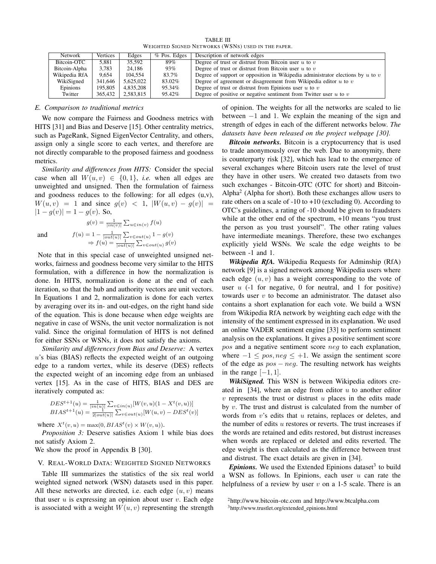TABLE III WEIGHTED SIGNED NETWORKS (WSNS) USED IN THE PAPER.

| <b>Network</b> | Vertices | Edges     | % Pos. Edges | Description of network edges                                                       |
|----------------|----------|-----------|--------------|------------------------------------------------------------------------------------|
| Bitcoin-OTC    | 5.881    | 35.592    | 89%          | Degree of trust or distrust from Bitcoin user $u$ to $v$                           |
| Bitcoin-Alpha  | 3.783    | 24.186    | 93%          | Degree of trust or distrust from Bitcoin user $u$ to $v$                           |
| Wikipedia RfA  | 9.654    | 104.554   | 83.7%        | Degree of support or opposition in Wikipedia administrator elections by $u$ to $v$ |
| WikiSigned     | 341,646  | 5.625.022 | 83.02%       | Degree of agreement or disagreement from Wikipedia editor $u$ to $v$               |
| Epinions       | 195.805  | 4,835,208 | 95.34%       | Degree of trust or distrust from Epinions user $u$ to $v$                          |
| Twitter        | 365.432  | 2,583,815 | 95.42%       | Degree of positive or negative sentiment from Twitter user $u$ to $v$              |

#### *E. Comparison to traditional metrics*

We now compare the Fairness and Goodness metrics with HITS [31] and Bias and Deserve [15]. Other centrality metrics, such as PageRank, Signed EigenVector Centrality, and others, assign only a single score to each vertex, and therefore are not directly comparable to the proposed fairness and goodness metrics.

*Similarity and differences from HITS:* Consider the special case when all  $W(u, v) \in \{0, 1\}$ , *i.e.* when all edges are unweighted and unsigned. Then the formulation of fairness and goodness reduces to the following: for all edges  $(u,v)$ ,  $W(u, v) = 1$  and since  $g(v) < 1$ ,  $|W(u, v) - g(v)| =$  $|1 - g(v)| = 1 - g(v)$ . So,

$$
g(v) = \frac{1}{|in(v)|} \sum_{u \in in(v)} f(u)
$$
  
and  

$$
f(u) = 1 - \frac{1}{|out(u)|} \sum_{v \in out(u)} 1 - g(v)
$$

$$
\Rightarrow f(u) = \frac{1}{|out(u)|} \sum_{v \in out(u)} g(v)
$$

Note that in this special case of unweighted unsigned networks, fairness and goodness become very similar to the HITS formulation, with a difference in how the normalization is done. In HITS, normalization is done at the end of each iteration, so that the hub and authority vectors are unit vectors. In Equations 1 and 2, normalization is done for each vertex by averaging over its in- and out-edges, on the right hand side of the equation. This is done because when edge weights are negative in case of WSNs, the unit vector normalization is not valid. Since the original formulation of HITS is not defined for either SSNs or WSNs, it does not satisfy the axioms.

*Similarity and differences from Bias and Deserve:* A vertex  $u$ 's bias (BIAS) reflects the expected weight of an outgoing edge to a random vertex, while its deserve (DES) reflects the expected weight of an incoming edge from an unbiased vertex [15]. As in the case of HITS, BIAS and DES are iteratively computed as:

$$
DES^{t+1}(u) = \frac{1}{|in(u)|} \sum_{v \in in(u)} [W(v, u)(1 - X^t(v, u))]
$$
  

$$
BIAS^{t+1}(u) = \frac{1}{2|out(u)|} \sum_{v \in out(u)} [W(u, v) - DES^t(v)]
$$

where  $X^t(v, u) = \max(0, BIAS^t(v) \times W(v, u)).$ 

*Proposition 3:* Deserve satisfies Axiom 1 while bias does not satisfy Axiom 2.

We show the proof in Appendix B [30].

# V. REAL-WORLD DATA: WEIGHTED SIGNED NETWORKS

Table III summarizes the statistics of the six real world weighted signed network (WSN) datasets used in this paper. All these networks are directed, i.e. each edge  $(u, v)$  means that user  $u$  is expressing an opinion about user  $v$ . Each edge is associated with a weight  $W(u, v)$  representing the strength

of opinion. The weights for all the networks are scaled to lie between −1 and 1. We explain the meaning of the sign and strength of edges in each of the different networks below. *The datasets have been released on the project webpage [30].*

*Bitcoin networks.* Bitcoin is a cryptocurrency that is used to trade anonymously over the web. Due to anonymity, there is counterparty risk [32], which has lead to the emergence of several exchanges where Bitcoin users rate the level of trust they have in other users. We created two datasets from two such exchanges - Bitcoin-OTC (OTC for short) and Bitcoin-Alpha<sup>2</sup> (Alpha for short). Both these exchanges allow users to rate others on a scale of -10 to +10 (excluding 0). According to OTC's guidelines, a rating of -10 should be given to fraudsters while at the other end of the spectrum, +10 means "you trust the person as you trust yourself". The other rating values have intermediate meanings. Therefore, these two exchanges explicitly yield WSNs. We scale the edge weights to be between -1 and 1.

*Wikipedia RfA.* Wikipedia Requests for Adminship (RfA) network [9] is a signed network among Wikipedia users where each edge  $(u, v)$  has a weight corresponding to the vote of user  $u$  (-1 for negative, 0 for neutral, and 1 for positive) towards user  $v$  to become an administrator. The dataset also contains a short explanation for each vote. We build a WSN from Wikipedia RfA network by weighting each edge with the intensity of the sentiment expressed in its explanation. We used an online VADER sentiment engine [33] to perform sentiment analysis on the explanations. It gives a positive sentiment score pos and a negative sentiment score neg to each explanation, where  $-1 \le pos, neg \le +1$ . We assign the sentiment score of the edge as  $pos-neg$ . The resulting network has weights in the range  $[-1, 1]$ .

*WikiSigned.* This WSN is between Wikipedia editors created in  $[34]$ , where an edge from editor u to another editor  $v$  represents the trust or distrust  $u$  places in the edits made by v. The trust and distrust is calculated from the number of words from  $v$ 's edits that  $u$  retains, replaces or deletes, and the number of edits  $u$  restores or reverts. The trust increases if the words are retained and edits restored, but distrust increases when words are replaced or deleted and edits reverted. The edge weight is then calculated as the difference between trust and distrust. The exact details are given in [34].

Epinions. We used the Extended Epinions dataset<sup>3</sup> to build a WSN as follows. In Epinions, each user  $u$  can rate the helpfulness of a review by user  $v$  on a 1-5 scale. There is an

<sup>2</sup>http://www.bitcoin-otc.com and http://www.btcalpha.com <sup>3</sup>http://www.trustlet.org/extended\_epinions.html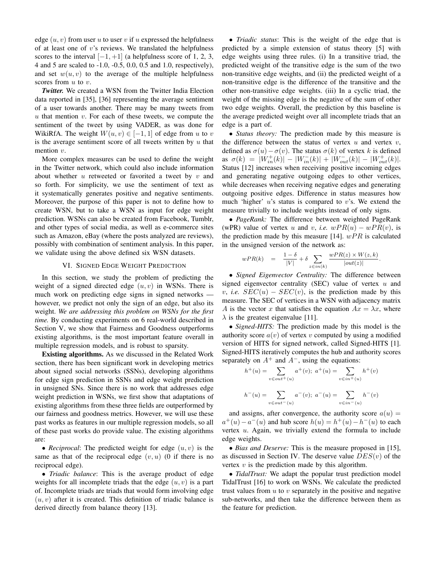edge  $(u, v)$  from user u to user v if u expressed the helpfulness of at least one of  $v$ 's reviews. We translated the helpfulness scores to the interval  $[-1, +1]$  (a helpfulness score of 1, 2, 3, 4 and 5 are scaled to -1.0, -0.5, 0.0, 0.5 and 1.0, respectively), and set  $w(u, v)$  to the average of the multiple helpfulness scores from  $u$  to  $v$ .

*Twitter.* We created a WSN from the Twitter India Election data reported in [35], [36] representing the average sentiment of a user towards another. There may be many tweets from  $u$  that mention  $v$ . For each of these tweets, we compute the sentiment of the tweet by using VADER, as was done for WikiRfA. The weight  $W(u, v) \in [-1, 1]$  of edge from u to v is the average sentiment score of all tweets written by  $u$  that mention  $v$ .

More complex measures can be used to define the weight in the Twitter network, which could also include information about whether  $u$  retweeted or favorited a tweet by  $v$  and so forth. For simplicity, we use the sentiment of text as it systematically generates positive and negative sentiments. Moreover, the purpose of this paper is not to define how to create WSN, but to take a WSN as input for edge weight prediction. WSNs can also be created from Facebook, Tumblr, and other types of social media, as well as e-commerce sites such as Amazon, eBay (where the posts analyzed are reviews), possibly with combination of sentiment analysis. In this paper, we validate using the above defined six WSN datasets.

## VI. SIGNED EDGE WEIGHT PREDICTION

In this section, we study the problem of predicting the weight of a signed directed edge  $(u, v)$  in WSNs. There is much work on predicting edge signs in signed networks however, we predict not only the sign of an edge, but also its weight. *We are addressing this problem on WSNs for the first time.* By conducting experiments on 6 real-world described in Section V, we show that Fairness and Goodness outperforms existing algorithms, is the most important feature overall in multiple regression models, and is robust to sparsity.

Existing algorithms. As we discussed in the Related Work section, there has been significant work in developing metrics about signed social networks (SSNs), developing algorithms for edge sign prediction in SSNs and edge weight prediction in unsigned SNs. Since there is no work that addresses edge weight prediction in WSNs, we first show that adaptations of existing algorithms from these three fields are outperformed by our fairness and goodness metrics. However, we will use these past works as features in our multiple regression models, so all of these past works do provide value. The existing algorithms are:

• *Reciprocal*: The predicted weight for edge  $(u, v)$  is the same as that of the reciprocal edge  $(v, u)$  (0 if there is no reciprocal edge).

• *Triadic balance*: This is the average product of edge weights for all incomplete triads that the edge  $(u, v)$  is a part of. Incomplete triads are triads that would form involving edge  $(u, v)$  after it is created. This definition of triadic balance is derived directly from balance theory [13].

• *Triadic status*: This is the weight of the edge that is predicted by a simple extension of status theory [5] with edge weights using three rules. (i) In a transitive triad, the predicted weight of the transitive edge is the sum of the two non-transitive edge weights, and (ii) the predicted weight of a non-transitive edge is the difference of the transitive and the other non-transitive edge weights. (iii) In a cyclic triad, the weight of the missing edge is the negative of the sum of other two edge weights. Overall, the prediction by this baseline is the average predicted weight over all incomplete triads that an edge is a part of.

• *Status theory:* The prediction made by this measure is the difference between the status of vertex  $u$  and vertex  $v$ , defined as  $\sigma(u) - \sigma(v)$ . The status  $\sigma(k)$  of vertex k is defined as  $\sigma(k) = |W_{in}^{+}(k)| - |W_{in}^{-}(k)| + |W_{out}^{-}(k)| - |W_{out}^{+}(k)|$ . Status [12] increases when receiving positive incoming edges and generating negative outgoing edges to other vertices, while decreases when receiving negative edges and generating outgoing positive edges. Difference in status measures how much 'higher'  $u$ 's status is compared to  $v$ 's. We extend the measure trivially to include weights instead of only signs.

• *PageRank:* The difference between weighted PageRank (wPR) value of vertex u and v, *i.e.*  $wPR(u) - wPR(v)$ , is the prediction made by this measure [14].  $wPR$  is calculated in the unsigned version of the network as:

$$
wPR(k) = \frac{1-\delta}{|V|} + \delta \sum_{z \in in(k)} \frac{wPR(z) \times W(z,k)}{|out(z)|}.
$$

• *Signed Eigenvector Centrality:* The difference between signed eigenvector centrality (SEC) value of vertex  $u$  and v, *i.e.*  $SEC(u) - SEC(v)$ , is the prediction made by this measure. The SEC of vertices in a WSN with adjacency matrix A is the vector x that satisfies the equation  $Ax = \lambda x$ , where  $\lambda$  is the greatest eigenvalue [11].

• *Signed-HITS:* The prediction made by this model is the authority score  $a(v)$  of vertex v computed by using a modified version of HITS for signed network, called Signed-HITS [1]. Signed-HITS iteratively computes the hub and authority scores separately on  $A^+$  and  $A^-$ , using the equations:

$$
h^+(u) = \sum_{v \in out^+(u)} a^+(v); \ a^+(u) = \sum_{v \in in^+(u)} h^+(v)
$$

$$
h^-(u) = \sum_{v \in out^-(u)} a^-(v); \ a^-(u) = \sum_{v \in in^-(u)} h^-(v)
$$

and assigns, after convergence, the authority score  $a(u)$  =  $a^+(u) - a^-(u)$  and hub score  $h(u) = h^+(u) - h^-(u)$  to each vertex  $u$ . Again, we trivially extend the formula to include edge weights.

• *Bias and Deserve:* This is the measure proposed in [15], as discussed in Section IV. The deserve value  $DES(v)$  of the vertex  $v$  is the prediction made by this algorithm.

• *TidalTrust:* We adapt the popular trust prediction model TidalTrust [16] to work on WSNs. We calculate the predicted trust values from  $u$  to  $v$  separately in the positive and negative sub-networks, and then take the difference between them as the feature for prediction.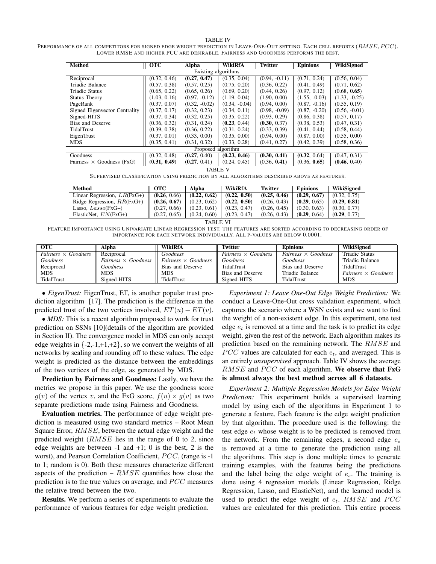#### TABLE IV

PERFORMANCE OF ALL COMPETITORS FOR SIGNED EDGE WEIGHT PREDICTION IN LEAVE-ONE-OUT SETTING. EACH CELL REPORTS (RMSE, PCC). LOWER RMSE AND HIGHER PCC ARE DESIRABLE. FAIRNESS AND GOODNESS PERFORMS THE BEST.

| Method                           | <b>OTC</b>   | Alpha           | WikiRfA         | <b>Twitter</b>  | <b>Epinions</b> | WikiSigned      |  |  |
|----------------------------------|--------------|-----------------|-----------------|-----------------|-----------------|-----------------|--|--|
| Existing algorithms              |              |                 |                 |                 |                 |                 |  |  |
| Reciprocal                       | (0.32, 0.46) | (0.27, 0.47)    | (0.35, 0.04)    | $(0.94, -0.11)$ | (0.71, 0.24)    | (0.56, 0.04)    |  |  |
| Triadic Balance                  | (0.57, 0.38) | (0.57, 0.25)    | (0.75, 0.20)    | (0.36, 0.22)    | (0.41, 0.49)    | (0.71, 0.62)    |  |  |
| <b>Triadic Status</b>            | (0.65, 0.22) | (0.65, 0.26)    | (0.69, 0.20)    | (0.44, 0.26)    | (0.97, 0.12)    | (0.68, 0.65)    |  |  |
| <b>Status Theory</b>             | (1.03, 0.16) | $(0.97, -0.12)$ | (1.19, 0.04)    | (1.90, 0.00)    | $(1.55, -0.03)$ | $(1.33, -0.25)$ |  |  |
| PageRank                         | (0.37, 0.07) | $(0.32, -0.02)$ | $(0.34, -0.04)$ | (0.94, 0.00)    | $(0.87, -0.16)$ | (0.55, 0.19)    |  |  |
| Signed Eigenvector Centrality    | (0.37, 0.17) | (0.32, 0.23)    | (0.34, 0.11)    | $(0.98, -0.09)$ | $(0.87, -0.20)$ | $(0.56, -0.01)$ |  |  |
| Signed-HITS                      | (0.37, 0.34) | (0.32, 0.25)    | (0.35, 0.22)    | (0.93, 0.29)    | (0.86, 0.38)    | (0.57, 0.17)    |  |  |
| Bias and Deserve                 | (0.36, 0.32) | (0.31, 0.24)    | (0.23, 0.44)    | (0.30, 0.37)    | (0.38, 0.53)    | (0.47, 0.31)    |  |  |
| TidalTrust                       | (0.39, 0.38) | (0.36, 0.22)    | (0.31, 0.24)    | (0.33, 0.39)    | (0.41, 0.44)    | (0.58, 0.44)    |  |  |
| EigenTrust                       | (0.37, 0.01) | (0.33, 0.00)    | (0.35, 0.00)    | (0.94, 0.00)    | (0.87, 0.00)    | (0.55, 0.00)    |  |  |
| MDS.                             | (0.35, 0.41) | (0.31, 0.32)    | (0.33, 0.28)    | (0.41, 0.27)    | (0.42, 0.39)    | (0.58, 0.36)    |  |  |
| Proposed algorithm               |              |                 |                 |                 |                 |                 |  |  |
| Goodness                         | (0.32, 0.48) | (0.27, 0.40)    | (0.23, 0.46)    | (0.30, 0.41)    | (0.32, 0.64)    | (0.47, 0.31)    |  |  |
| Fairness $\times$ Goodness (FxG) | (0.31, 0.49) | (0.27, 0.41)    | (0.24, 0.45)    | (0.36, 0.41)    | (0.36, 0.65)    | (0.46, 0.40)    |  |  |

TABLE V

SUPERVISED CLASSIFICATION USING PREDICTION BY ALL ALGORITHMS DESCRIBED ABOVE AS FEATURES.

| Method                        | <b>OTC</b>   | Alpha        | WikiRfA      | <b>Twitter</b> | <b>Epinions</b> | WikiSigned   |
|-------------------------------|--------------|--------------|--------------|----------------|-----------------|--------------|
| Linear Regression, $LR(FxG+)$ | (0.26, 0.66) | (0.22, 0.62) | (0.22, 0.50) | (0.25, 0.46)   | (0.29, 0.67)    | (0.32, 0.75) |
| Ridge Regression, $RR(FxG+)$  | (0.26, 0.67) | (0.23, 0.62) | (0.22, 0.50) | (0.26, 0.43)   | (0.29, 0.65)    | (0.29, 0.81) |
| Lasso, $Lasso(FxG+)$          | (0.27, 0.66) | (0.23, 0.61) | (0.23, 0.47) | (0.26, 0.45)   | (0.30, 0.63)    | (0.30, 0.77) |
| ElasticNet. $EN$ (FxG+)       | (0.27, 0.65) | (0.24, 0.60) | (0.23, 0.47) | (0.26, 0.43)   | (0.29, 0.64)    | (0.29, 0.77) |
| TABLE VI                      |              |              |              |                |                 |              |

FEATURE IMPORTANCE USING UNIVARIATE LINEAR REGRESSION TEST. THE FEATURES ARE SORTED ACCORDING TO DECREASING ORDER OF IMPORTANCE FOR EACH NETWORK INDIVIDUALLY. ALL P-VALUES ARE BELOW 0.0001.

| OTC                        | Alpha                      | WikiRfA                    | Twitter                    | <b>Epinions</b>            | WikiSigned                 |
|----------------------------|----------------------------|----------------------------|----------------------------|----------------------------|----------------------------|
| $Fairness \times Goodness$ | Reciprocal                 | Goodness                   | Fairness $\times$ Goodness | Fairness $\times$ Goodness | Triadic Status             |
| Goodness                   | Fairness $\times$ Goodness | Fairness $\times$ Goodness | <i>Goodness</i>            | Goodness                   | Triadic Balance            |
| Reciprocal                 | <b>Goodness</b>            | Bias and Deserve           | TidalTrust                 | Bias and Deserve           | TidalTrust                 |
| <b>MDS</b>                 | <b>MDS</b>                 | <b>MDS</b>                 | Bias and Deserve           | Triadic Balance            | Fairness $\times$ Goodness |
| <b>TidalTrust</b>          | Signed-HITS                | TidalTrust                 | Signed-HITS                | TidalTrust                 | <b>MDS</b>                 |

• *EigenTrust:* EigenTrust, ET, is another popular trust prediction algorithm [17]. The prediction is the difference in the predicted trust of the two vertices involved,  $ET(u) - ET(v)$ .

• *MDS*: This is a recent algorithm proposed to work for trust prediction on SSNs [10](details of the algorithm are provided in Section II). The convergence model in MDS can only accept edge weights in  $\{-2,-1,+1,+2\}$ , so we convert the weights of all networks by scaling and rounding off to these values. The edge weight is predicted as the distance between the embeddings of the two vertices of the edge, as generated by MDS.

Prediction by Fairness and Goodness: Lastly, we have the metrics we propose in this paper. We use the goodness score  $g(v)$  of the vertex v, and the FxG score,  $f(u) \times g(v)$  as two separate predictions made using Fairness and Goodness.

Evaluation metrics. The performance of edge weight prediction is measured using two standard metrics – Root Mean Square Error, RMSE, between the actual edge weight and the predicted weight  $(RMSE)$  lies in the range of 0 to 2, since edge weights are between  $-1$  and  $+1$ ; 0 is the best, 2 is the worst), and Pearson Correlation Coefficient,  $PCC$ , (range is  $-1$ ) to 1; random is 0). Both these measures characterize different aspects of the prediction –  $RMSE$  quantifies how close the prediction is to the true values on average, and  $PCC$  measures the relative trend between the two.

Results. We perform a series of experiments to evaluate the performance of various features for edge weight prediction.

*Experiment 1: Leave One-Out Edge Weight Prediction:* We conduct a Leave-One-Out cross validation experiment, which captures the scenario where a WSN exists and we want to find the weight of a non-existent edge. In this experiment, one test edge  $e_t$  is removed at a time and the task is to predict its edge weight, given the rest of the network. Each algorithm makes its prediction based on the remaining network. The RMSE and  $PCC$  values are calculated for each  $e_t$ , and averaged. This is an entirely *unsupervised* approach. Table IV shows the average  $RMSE$  and  $PCC$  of each algorithm. We observe that  $FxG$ is almost always the best method across all 6 datasets.

*Experiment 2: Multiple Regression Models for Edge Weight Prediction:* This experiment builds a supervised learning model by using each of the algorithms in Experiment 1 to generate a feature. Each feature is the edge weight prediction by that algorithm. The procedure used is the following: the test edge  $e_t$  whose weight is to be predicted is removed from the network. From the remaining edges, a second edge  $e_s$ is removed at a time to generate the prediction using all the algorithms. This step is done multiple times to generate training examples, with the features being the predictions and the label being the edge weight of  $e_s$ . The training is done using 4 regression models (Linear Regression, Ridge Regression, Lasso, and ElasticNet), and the learned model is used to predict the edge weight of  $e_t$ . RMSE and PCC values are calculated for this prediction. This entire process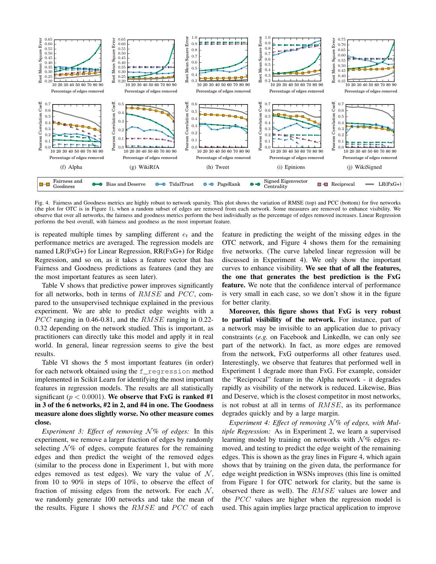

Fig. 4. Fairness and Goodness metrics are highly robust to network sparsity. This plot shows the variation of RMSE (top) and PCC (bottom) for five networks (the plot for OTC is in Figure 1), when a random subset of edges are removed from each network. Some measures are removed to enhance visibility. We observe that over all networks, the fairness and goodness metrics perform the best individually as the percentage of edges removed increases. Linear Regression performs the best overall, with fairness and goodness as the most important feature.

is repeated multiple times by sampling different  $e_t$  and the performance metrics are averaged. The regression models are named LR(FxG+) for Linear Regression, RR(FxG+) for Ridge Regression, and so on, as it takes a feature vector that has Fairness and Goodness predictions as features (and they are the most important features as seen later).

Table V shows that predictive power improves significantly for all networks, both in terms of  $RMSE$  and  $PCC$ , compared to the unsupervised technique explained in the previous experiment. We are able to predict edge weights with a PCC ranging in 0.46-0.81, and the RMSE ranging in 0.22-0.32 depending on the network studied. This is important, as practitioners can directly take this model and apply it in real world. In general, linear regression seems to give the best results.

Table VI shows the 5 most important features (in order) for each network obtained using the f\_regression method implemented in Scikit Learn for identifying the most important features in regression models. The results are all statistically significant ( $p < 0.0001$ ). We observe that FxG is ranked #1 in 3 of the 6 networks, #2 in 2, and #4 in one. The Goodness measure alone does slightly worse. No other measure comes close.

*Experiment 3: Effect of removing* N *% of edges:* In this experiment, we remove a larger fraction of edges by randomly selecting  $\mathcal{N}\%$  of edges, compute features for the remaining edges and then predict the weight of the removed edges (similar to the process done in Experiment 1, but with more edges removed as test edges). We vary the value of  $N$ , from 10 to 90% in steps of 10%, to observe the effect of fraction of missing edges from the network. For each  $\mathcal{N}$ , we randomly generate 100 networks and take the mean of the results. Figure 1 shows the  $RMSE$  and  $PCC$  of each

feature in predicting the weight of the missing edges in the OTC network, and Figure 4 shows them for the remaining five networks. (The curve labeled linear regression will be discussed in Experiment 4). We only show the important curves to enhance visibility. We see that of all the features, the one that generates the best prediction is the FxG feature. We note that the confidence interval of performance is very small in each case, so we don't show it in the figure for better clarity.

Moreover, this figure shows that FxG is very robust to partial visibility of the network. For instance, part of a network may be invisible to an application due to privacy constraints (*e.g.* on Facebook and LinkedIn, we can only see part of the network). In fact, as more edges are removed from the network, FxG outperforms all other features used. Interestingly, we observe that features that performed well in Experiment 1 degrade more than FxG. For example, consider the "Reciprocal" feature in the Alpha network - it degrades rapidly as visibility of the network is reduced. Likewise, Bias and Deserve, which is the closest competitor in most networks, is not robust at all in terms of  $RMSE$ , as its performance degrades quickly and by a large margin.

*Experiment 4: Effect of removing* N *% of edges, with Multiple Regression:* As in Experiment 2, we learn a supervised learning model by training on networks with  $\mathcal{N}$ % edges removed, and testing to predict the edge weight of the remaining edges. This is shown as the gray lines in Figure 4, which again shows that by training on the given data, the performance for edge weight prediction in WSNs improves (this line is omitted from Figure 1 for OTC network for clarity, but the same is observed there as well). The RMSE values are lower and the  $PCC$  values are higher when the regression model is used. This again implies large practical application to improve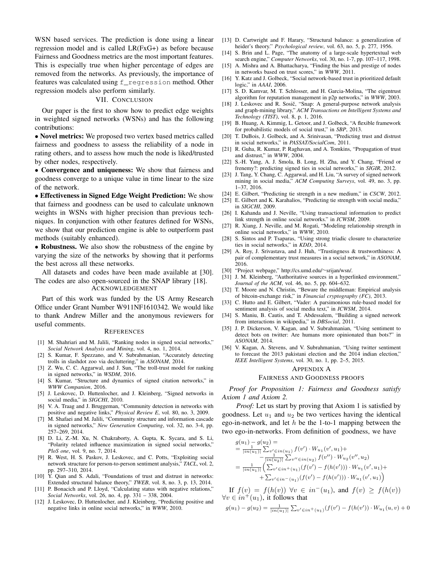WSN based services. The prediction is done using a linear regression model and is called LR(FxG+) as before because Fairness and Goodness metrics are the most important features. This is especially true when higher percentage of edges are removed from the networks. As previously, the importance of features was calculated using f\_regression method. Other regression models also perform similarly.

#### VII. CONCLUSION

Our paper is the first to show how to predict edge weights in weighted signed networks (WSNs) and has the following contributions:

• Novel metrics: We proposed two vertex based metrics called fairness and goodness to assess the reliability of a node in rating others, and to assess how much the node is liked/trusted by other nodes, respectively.

• Convergence and uniqueness: We show that fairness and goodness converge to a unique value in time linear to the size of the network.

• Effectiveness in Signed Edge Weight Prediction: We show that fairness and goodness can be used to calculate unknown weights in WSNs with higher precision than previous techniques. In conjunction with other features defined for WSNs, we show that our prediction engine is able to outperform past methods (suitably enhanced).

• Robustness. We also show the robustness of the engine by varying the size of the networks by showing that it performs the best across all these networks.

All datasets and codes have been made available at [30]. The codes are also open-sourced in the SNAP library [18]. ACKNOWLEDGEMENT

Part of this work was funded by the US Army Research Office under Grant Number W911NF1610342. We would like to thank Andrew Miller and the anonymous reviewers for useful comments.

#### **REFERENCES**

- [1] M. Shahriari and M. Jalili, "Ranking nodes in signed social networks," *Social Network Analysis and Mining*, vol. 4, no. 1, 2014.
- [2] S. Kumar, F. Spezzano, and V. Subrahmanian, "Accurately detecting trolls in slashdot zoo via decluttering," in *ASONAM*, 2014.
- [3] Z. Wu, C. C. Aggarwal, and J. Sun, "The troll-trust model for ranking in signed networks," in *WSDM*, 2016.
- [4] S. Kumar, "Structure and dynamics of signed citation networks," in *WWW Companion*, 2016.
- [5] J. Leskovec, D. Huttenlocher, and J. Kleinberg, "Signed networks in social media," in *SIGCHI*, 2010.
- [6] V. A. Traag and J. Bruggeman, "Community detection in networks with positive and negative links," *Physical Review E*, vol. 80, no. 3, 2009.
- [7] M. Shafaei and M. Jalili, "Community structure and information cascade in signed networks," *New Generation Computing*, vol. 32, no. 3-4, pp. 257–269, 2014.
- [8] D. Li, Z.-M. Xu, N. Chakraborty, A. Gupta, K. Sycara, and S. Li, "Polarity related influence maximization in signed social networks," *PloS one*, vol. 9, no. 7, 2014.
- [9] R. West, H. S. Paskov, J. Leskovec, and C. Potts, "Exploiting social network structure for person-to-person sentiment analysis," *TACL*, vol. 2, pp. 297–310, 2014.
- [10] Y. Qian and S. Adali, "Foundations of trust and distrust in networks: Extended structural balance theory," *TWEB*, vol. 8, no. 3, p. 13, 2014.
- [11] P. Bonacich and P. Lloyd, "Calculating status with negative relations," *Social Networks*, vol. 26, no. 4, pp. 331 – 338, 2004.
- [12] J. Leskovec, D. Huttenlocher, and J. Kleinberg, "Predicting positive and negative links in online social networks," in *WWW*, 2010.
- [13] D. Cartwright and F. Harary, "Structural balance: a generalization of heider's theory." *Psychological review*, vol. 63, no. 5, p. 277, 1956.
- [14] S. Brin and L. Page, "The anatomy of a large-scale hypertextual web search engine," *Computer Networks*, vol. 30, no. 1-7, pp. 107–117, 1998.
- [15] A. Mishra and A. Bhattacharya, "Finding the bias and prestige of nodes in networks based on trust scores," in *WWW*, 2011.
- [16] Y. Katz and J. Golbeck, "Social network-based trust in prioritized default logic," in *AAAI*, 2006.
- [17] S. D. Kamvar, M. T. Schlosser, and H. Garcia-Molina, "The eigentrust algorithm for reputation management in p2p networks," in *WWW*, 2003.
- [18] J. Leskovec and R. Sosič, "Snap: A general-purpose network analysis and graph-mining library," *ACM Transactions on Intelligent Systems and Technology (TIST)*, vol. 8, p. 1, 2016.
- [19] B. Huang, A. Kimmig, L. Getoor, and J. Golbeck, "A flexible framework for probabilistic models of social trust," in *SBP*, 2013.
- [20] T. DuBois, J. Golbeck, and A. Srinivasan, "Predicting trust and distrust in social networks," in *PASSAT/SocialCom*, 2011.
- [21] R. Guha, R. Kumar, P. Raghavan, and A. Tomkins, "Propagation of trust and distrust," in *WWW*, 2004.
- [22] S.-H. Yang, A. J. Smola, B. Long, H. Zha, and Y. Chang, "Friend or frenemy?: predicting signed ties in social networks," in *SIGIR*, 2012.
- [23] J. Tang, Y. Chang, C. Aggarwal, and H. Liu, "A survey of signed network mining in social media," *ACM Computing Surveys*, vol. 49, no. 3, pp. 1–37, 2016.
- [24] E. Gilbert, "Predicting tie strength in a new medium," in *CSCW*, 2012.
- [25] E. Gilbert and K. Karahalios, "Predicting tie strength with social media," in *SIGCHI*, 2009.
- [26] I. Kahanda and J. Neville, "Using transactional information to predict link strength in online social networks." in *ICWSM*, 2009.
- [27] R. Xiang, J. Neville, and M. Rogati, "Modeling relationship strength in online social networks," in *WWW*, 2010.
- [28] S. Sintos and P. Tsaparas, "Using strong triadic closure to characterize ties in social networks," in *KDD*, 2014.
- [29] A. Roy, J. Srivastava, and J. Huh, "Trustingness & trustworthiness: A pair of complementary trust measures in a social network," in *ASONAM*, 2016.
- [30] "Project webpage," http://cs.umd.edu/∼srijan/wsn/.
- [31] J. M. Kleinberg, "Authoritative sources in a hyperlinked environment," *Journal of the ACM*, vol. 46, no. 5, pp. 604–632.
- [32] T. Moore and N. Christin, "Beware the middleman: Empirical analysis of bitcoin-exchange risk," in *Financial cryptography (FC)*, 2013.
- [33] C. Hutto and E. Gilbert, "Vader: A parsimonious rule-based model for sentiment analysis of social media text," in *ICWSM*, 2014.
- [34] S. Maniu, B. Cautis, and T. Abdessalem, "Building a signed network from interactions in wikipedia," in *DBSocial*, 2011.
- [35] J. P. Dickerson, V. Kagan, and V. Subrahmanian, "Using sentiment to detect bots on twitter: Are humans more opinionated than bots?" in *ASONAM*, 2014.
- [36] V. Kagan, A. Stevens, and V. Subrahmanian, "Using twitter sentiment to forecast the 2013 pakistani election and the 2014 indian election," *IEEE Intelligent Systems*, vol. 30, no. 1, pp. 2–5, 2015.

#### APPENDIX A

#### FAIRNESS AND GOODNESS PROOFS

*Proof for Proposition 1: Fairness and Goodness satisfy Axiom 1 and Axiom 2.*

*Proof:* Let us start by proving that Axiom 1 is satisfied by goodness. Let  $u_1$  and  $u_2$  be two vertices having the identical ego-in-network, and let  $h$  be the 1-to-1 mapping between the two ego-in-networks. From definition of goodness, we have

$$
g(u_1) - g(u_2) =
$$
  
\n
$$
= \frac{1}{|in(u_1)|} \sum_{v' \in in(u_1)} f(v') \cdot W_{u_1}(v', u_1) +
$$
  
\n
$$
- \frac{1}{|in(u_2)|} \sum_{v'' \in in(u_2)} f(v'') \cdot W_{u_2}(v'', u_2)
$$
  
\n
$$
= \frac{1}{|in(u_1)|} \left( \sum_{v' \in in^+(u_1)} (f(v') - f(h(v'))) \cdot W_{u_1}(v', u_1) +
$$
  
\n
$$
+ \sum_{v' \in in^-(u_1)} (f(v') - f(h(v'))) \cdot W_{u_1}(v', u_1) \right)
$$

If  $f(v) = f(h(v))$   $\forall v \in in^-(u_1)$ , and  $f(v) \ge f(h(v))$  $\forall v \in in^+(u_1)$ , it follows that

$$
g(u_1) - g(u_2) = \frac{1}{|in(u_1)|} \sum_{v' \in in^+(u_1)} (f(v') - f(h(v')) \cdot W_{u_1}(u, v) + 0
$$